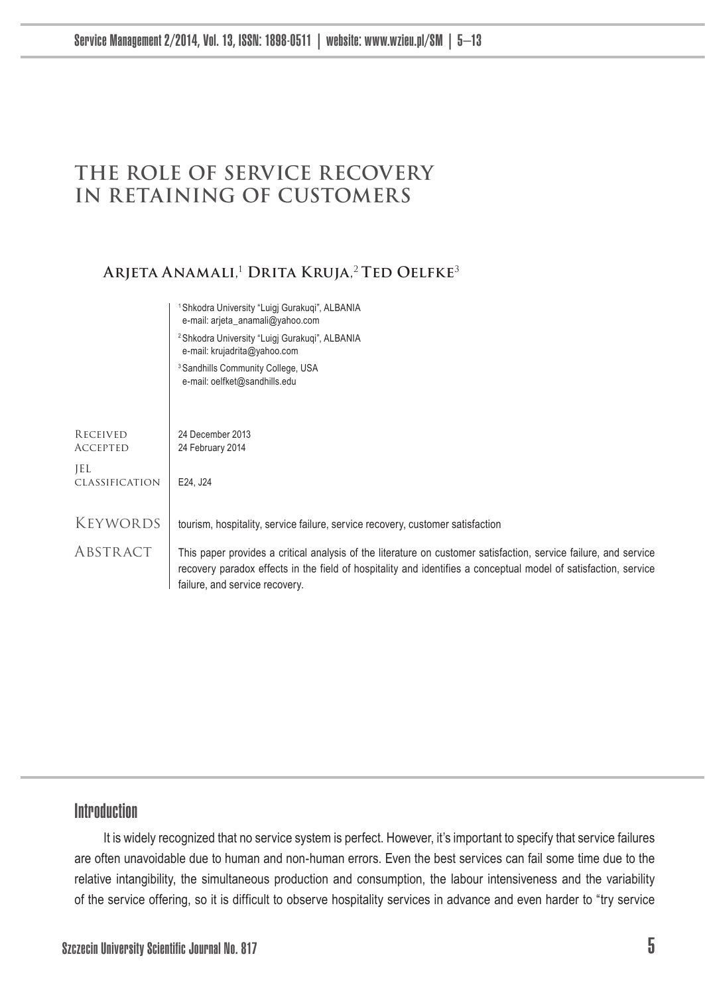# **THE ROLE OF SERVICE RECOVERY IN RETAINING OF CUSTOMERS**

### **Arjeta Anamali**, <sup>1</sup> **Drita Kruja**, <sup>2</sup>**Ted Oelfke**<sup>3</sup>

|                             | Shkodra University "Luigi Gurakugi", ALBANIA<br>e-mail: arjeta_anamali@yahoo.com                                                                                                                                                                                      |
|-----------------------------|-----------------------------------------------------------------------------------------------------------------------------------------------------------------------------------------------------------------------------------------------------------------------|
|                             | <sup>2</sup> Shkodra University "Luigi Gurakugi", ALBANIA<br>e-mail: krujadrita@yahoo.com                                                                                                                                                                             |
|                             | <sup>3</sup> Sandhills Community College, USA<br>e-mail: oelfket@sandhills.edu                                                                                                                                                                                        |
|                             |                                                                                                                                                                                                                                                                       |
| RECEIVED<br><b>ACCEPTED</b> | 24 December 2013<br>24 February 2014                                                                                                                                                                                                                                  |
| JEL<br>CLASSIFICATION       | E24, J24                                                                                                                                                                                                                                                              |
| Keywords                    | tourism, hospitality, service failure, service recovery, customer satisfaction                                                                                                                                                                                        |
| ABSTRACT                    | This paper provides a critical analysis of the literature on customer satisfaction, service failure, and service<br>recovery paradox effects in the field of hospitality and identifies a conceptual model of satisfaction, service<br>failure, and service recovery. |

# Introduction

It is widely recognized that no service system is perfect. However, it's important to specify that service failures are often unavoidable due to human and non-human errors. Even the best services can fail some time due to the relative intangibility, the simultaneous production and consumption, the labour intensiveness and the variability of the service offering, so it is difficult to observe hospitality services in advance and even harder to "try service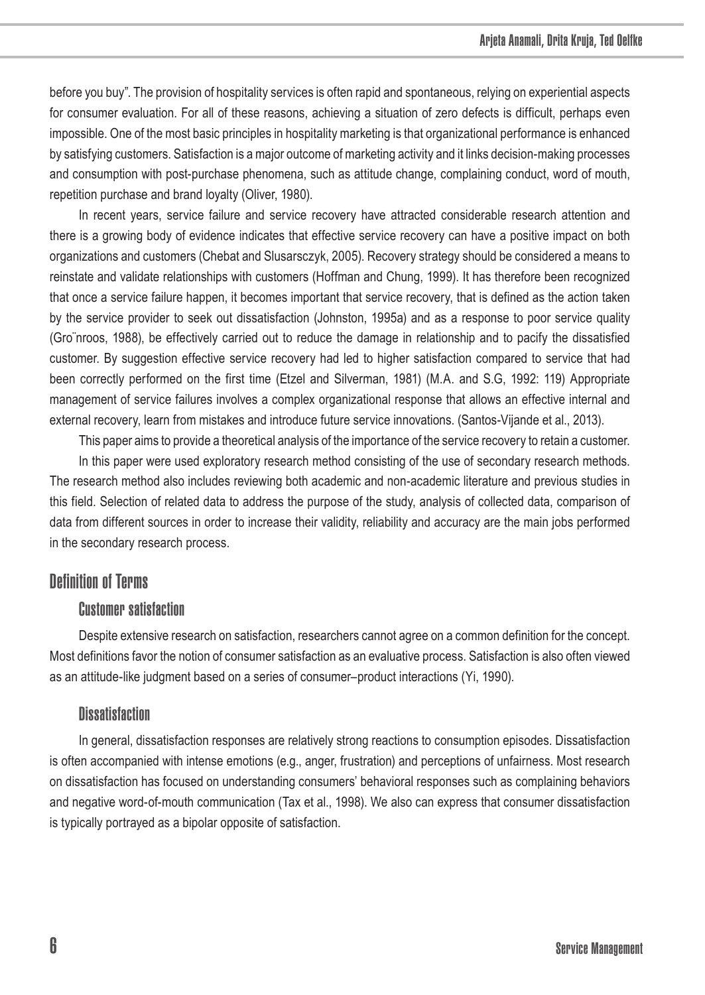before you buy". The provision of hospitality services is often rapid and spontaneous, relying on experiential aspects for consumer evaluation. For all of these reasons, achieving a situation of zero defects is difficult, perhaps even impossible. One of the most basic principles in hospitality marketing is that organizational performance is enhanced by satisfying customers. Satisfaction is a major outcome of marketing activity and it links decision-making processes and consumption with post-purchase phenomena, such as attitude change, complaining conduct, word of mouth, repetition purchase and brand loyalty (Oliver, 1980).

In recent years, service failure and service recovery have attracted considerable research attention and there is a growing body of evidence indicates that effective service recovery can have a positive impact on both organizations and customers (Chebat and Slusarsczyk, 2005). Recovery strategy should be considered a means to reinstate and validate relationships with customers (Hoffman and Chung, 1999). It has therefore been recognized that once a service failure happen, it becomes important that service recovery, that is defined as the action taken by the service provider to seek out dissatisfaction (Johnston, 1995a) and as a response to poor service quality (Gro¨nroos, 1988), be effectively carried out to reduce the damage in relationship and to pacify the dissatisfied customer. By suggestion effective service recovery had led to higher satisfaction compared to service that had been correctly performed on the first time (Etzel and Silverman, 1981) (M.A. and S.G, 1992: 119) Appropriate management of service failures involves a complex organizational response that allows an effective internal and external recovery, learn from mistakes and introduce future service innovations. (Santos-Vijande et al., 2013).

This paper aims to provide a theoretical analysis of the importance of the service recovery to retain a customer.

In this paper were used exploratory research method consisting of the use of secondary research methods. The research method also includes reviewing both academic and non-academic literature and previous studies in this field. Selection of related data to address the purpose of the study, analysis of collected data, comparison of data from different sources in order to increase their validity, reliability and accuracy are the main jobs performed in the secondary research process.

### Definition of Terms

### Customer satisfaction

Despite extensive research on satisfaction, researchers cannot agree on a common definition for the concept. Most definitions favor the notion of consumer satisfaction as an evaluative process. Satisfaction is also often viewed as an attitude-like judgment based on a series of consumer–product interactions (Yi, 1990).

### **Dissatisfaction**

In general, dissatisfaction responses are relatively strong reactions to consumption episodes. Dissatisfaction is often accompanied with intense emotions (e.g., anger, frustration) and perceptions of unfairness. Most research on dissatisfaction has focused on understanding consumers' behavioral responses such as complaining behaviors and negative word-of-mouth communication (Tax et al., 1998). We also can express that consumer dissatisfaction is typically portrayed as a bipolar opposite of satisfaction.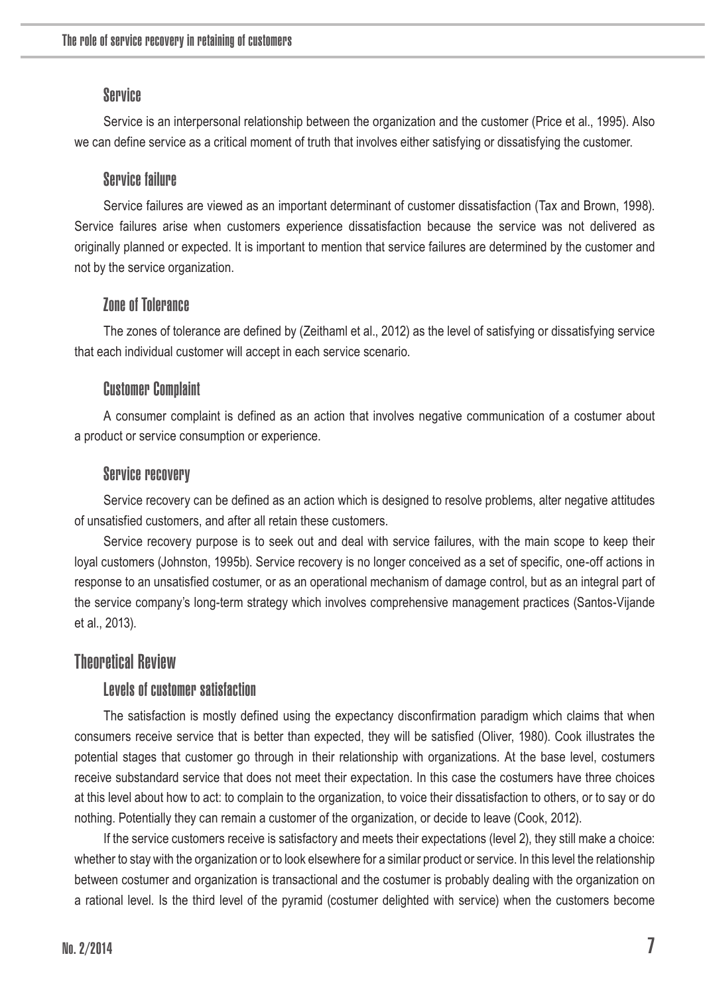#### **Service**

Service is an interpersonal relationship between the organization and the customer (Price et al., 1995). Also we can define service as a critical moment of truth that involves either satisfying or dissatisfying the customer.

### Service failure

Service failures are viewed as an important determinant of customer dissatisfaction (Tax and Brown, 1998). Service failures arise when customers experience dissatisfaction because the service was not delivered as originally planned or expected. It is important to mention that service failures are determined by the customer and not by the service organization.

# Zone of Tolerance

The zones of tolerance are defined by (Zeithaml et al., 2012) as the level of satisfying or dissatisfying service that each individual customer will accept in each service scenario.

#### Customer Complaint

A consumer complaint is defined as an action that involves negative communication of a costumer about a product or service consumption or experience.

#### Service recovery

Service recovery can be defined as an action which is designed to resolve problems, alter negative attitudes of unsatisfied customers, and after all retain these customers.

Service recovery purpose is to seek out and deal with service failures, with the main scope to keep their loyal customers (Johnston, 1995b). Service recovery is no longer conceived as a set of specific, one-off actions in response to an unsatisfied costumer, or as an operational mechanism of damage control, but as an integral part of the service company's long-term strategy which involves comprehensive management practices (Santos-Vijande et al., 2013).

### Theoretical Review

### Levels of customer satisfaction

The satisfaction is mostly defined using the expectancy disconfirmation paradigm which claims that when consumers receive service that is better than expected, they will be satisfied (Oliver, 1980). Cook illustrates the potential stages that customer go through in their relationship with organizations. At the base level, costumers receive substandard service that does not meet their expectation. In this case the costumers have three choices at this level about how to act: to complain to the organization, to voice their dissatisfaction to others, or to say or do nothing. Potentially they can remain a customer of the organization, or decide to leave (Cook, 2012).

If the service customers receive is satisfactory and meets their expectations (level 2), they still make a choice: whether to stay with the organization or to look elsewhere for a similar product or service. In this level the relationship between costumer and organization is transactional and the costumer is probably dealing with the organization on a rational level. Is the third level of the pyramid (costumer delighted with service) when the customers become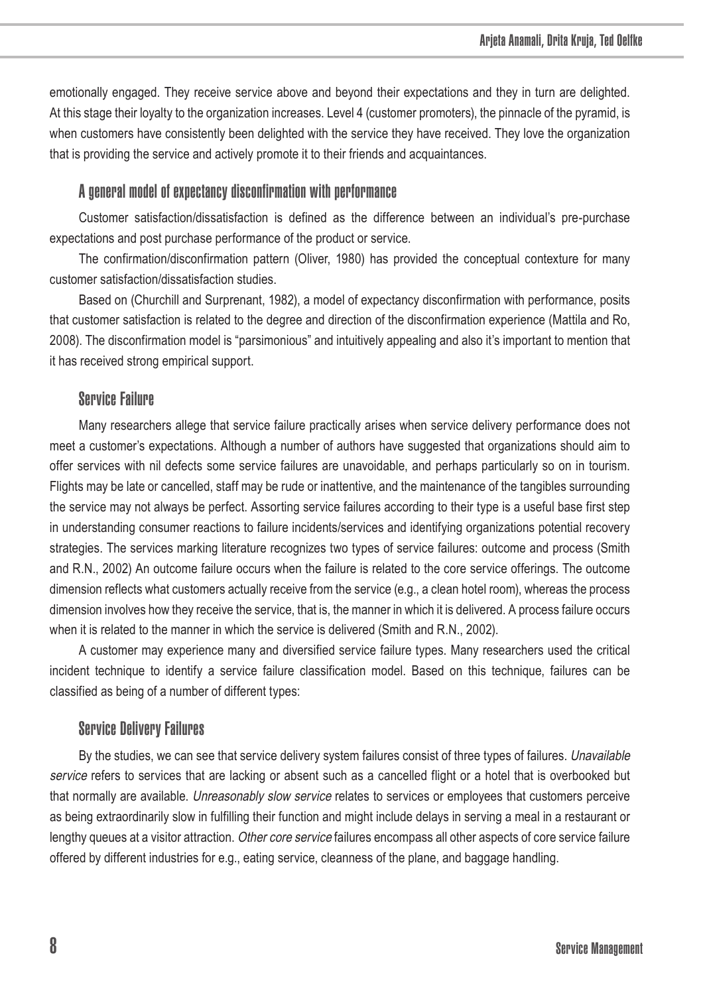emotionally engaged. They receive service above and beyond their expectations and they in turn are delighted. At this stage their loyalty to the organization increases. Level 4 (customer promoters), the pinnacle of the pyramid, is when customers have consistently been delighted with the service they have received. They love the organization that is providing the service and actively promote it to their friends and acquaintances.

#### A general model of expectancy disconfirmation with performance

Customer satisfaction/dissatisfaction is defined as the difference between an individual's pre-purchase expectations and post purchase performance of the product or service.

The confirmation/disconfirmation pattern (Oliver, 1980) has provided the conceptual contexture for many customer satisfaction/dissatisfaction studies.

Based on (Churchill and Surprenant, 1982), a model of expectancy disconfirmation with performance, posits that customer satisfaction is related to the degree and direction of the disconfirmation experience (Mattila and Ro, 2008). The disconfirmation model is "parsimonious" and intuitively appealing and also it's important to mention that it has received strong empirical support.

### Service Failure

Many researchers allege that service failure practically arises when service delivery performance does not meet a customer's expectations. Although a number of authors have suggested that organizations should aim to offer services with nil defects some service failures are unavoidable, and perhaps particularly so on in tourism. Flights may be late or cancelled, staff may be rude or inattentive, and the maintenance of the tangibles surrounding the service may not always be perfect. Assorting service failures according to their type is a useful base first step in understanding consumer reactions to failure incidents/services and identifying organizations potential recovery strategies. The services marking literature recognizes two types of service failures: outcome and process (Smith and R.N., 2002) An outcome failure occurs when the failure is related to the core service offerings. The outcome dimension reflects what customers actually receive from the service (e.g., a clean hotel room), whereas the process dimension involves how they receive the service, that is, the manner in which it is delivered. A process failure occurs when it is related to the manner in which the service is delivered (Smith and R.N., 2002).

A customer may experience many and diversified service failure types. Many researchers used the critical incident technique to identify a service failure classification model. Based on this technique, failures can be classified as being of a number of different types:

#### Service Delivery Failures

By the studies, we can see that service delivery system failures consist of three types of failures. Unavailable service refers to services that are lacking or absent such as a cancelled flight or a hotel that is overbooked but that normally are available. Unreasonably slow service relates to services or employees that customers perceive as being extraordinarily slow in fulfilling their function and might include delays in serving a meal in a restaurant or lengthy queues at a visitor attraction. Other core service failures encompass all other aspects of core service failure offered by different industries for e.g., eating service, cleanness of the plane, and baggage handling.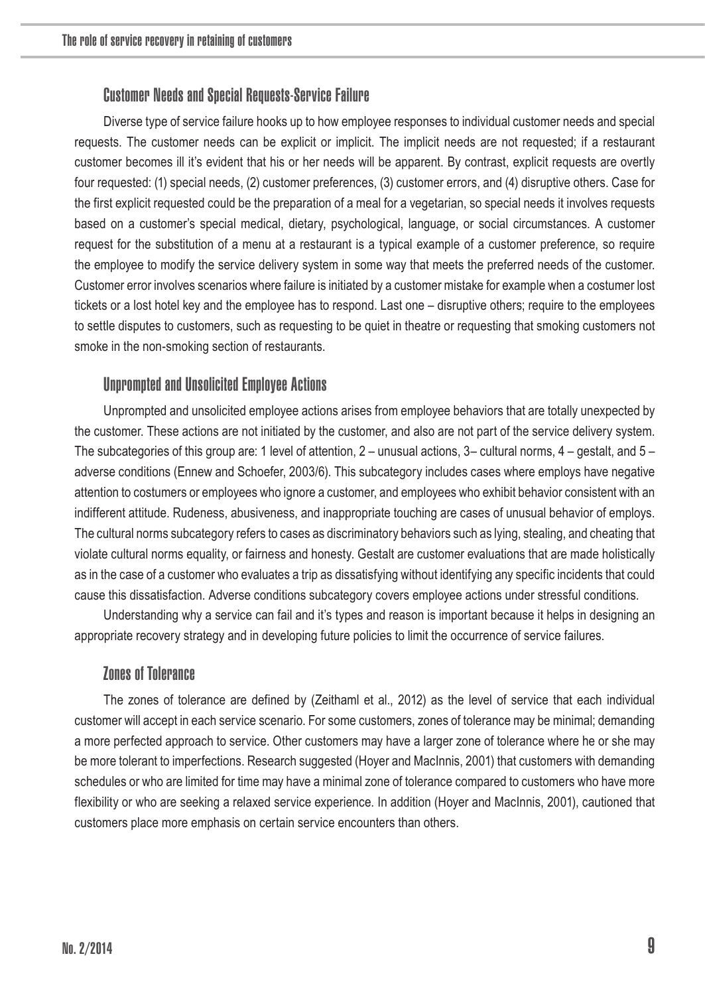## Customer Needs and Special Requests-Service Failure

Diverse type of service failure hooks up to how employee responses to individual customer needs and special requests. The customer needs can be explicit or implicit. The implicit needs are not requested; if a restaurant customer becomes ill it's evident that his or her needs will be apparent. By contrast, explicit requests are overtly four requested: (1) special needs, (2) customer preferences, (3) customer errors, and (4) disruptive others. Case for the first explicit requested could be the preparation of a meal for a vegetarian, so special needs it involves requests based on a customer's special medical, dietary, psychological, language, or social circumstances. A customer request for the substitution of a menu at a restaurant is a typical example of a customer preference, so require the employee to modify the service delivery system in some way that meets the preferred needs of the customer. Customer error involves scenarios where failure is initiated by a customer mistake for example when a costumer lost tickets or a lost hotel key and the employee has to respond. Last one – disruptive others; require to the employees to settle disputes to customers, such as requesting to be quiet in theatre or requesting that smoking customers not smoke in the non-smoking section of restaurants.

# Unprompted and Unsolicited Employee Actions

Unprompted and unsolicited employee actions arises from employee behaviors that are totally unexpected by the customer. These actions are not initiated by the customer, and also are not part of the service delivery system. The subcategories of this group are: 1 level of attention, 2 – unusual actions, 3– cultural norms, 4 – gestalt, and 5 – adverse conditions (Ennew and Schoefer, 2003/6). This subcategory includes cases where employs have negative attention to costumers or employees who ignore a customer, and employees who exhibit behavior consistent with an indifferent attitude. Rudeness, abusiveness, and inappropriate touching are cases of unusual behavior of employs. The cultural norms subcategory refers to cases as discriminatory behaviors such as lying, stealing, and cheating that violate cultural norms equality, or fairness and honesty. Gestalt are customer evaluations that are made holistically as in the case of a customer who evaluates a trip as dissatisfying without identifying any specific incidents that could cause this dissatisfaction. Adverse conditions subcategory covers employee actions under stressful conditions.

Understanding why a service can fail and it's types and reason is important because it helps in designing an appropriate recovery strategy and in developing future policies to limit the occurrence of service failures.

#### Zones of Tolerance

The zones of tolerance are defined by (Zeithaml et al., 2012) as the level of service that each individual customer will accept in each service scenario. For some customers, zones of tolerance may be minimal; demanding a more perfected approach to service. Other customers may have a larger zone of tolerance where he or she may be more tolerant to imperfections. Research suggested (Hoyer and MacInnis, 2001) that customers with demanding schedules or who are limited for time may have a minimal zone of tolerance compared to customers who have more flexibility or who are seeking a relaxed service experience. In addition (Hoyer and MacInnis, 2001), cautioned that customers place more emphasis on certain service encounters than others.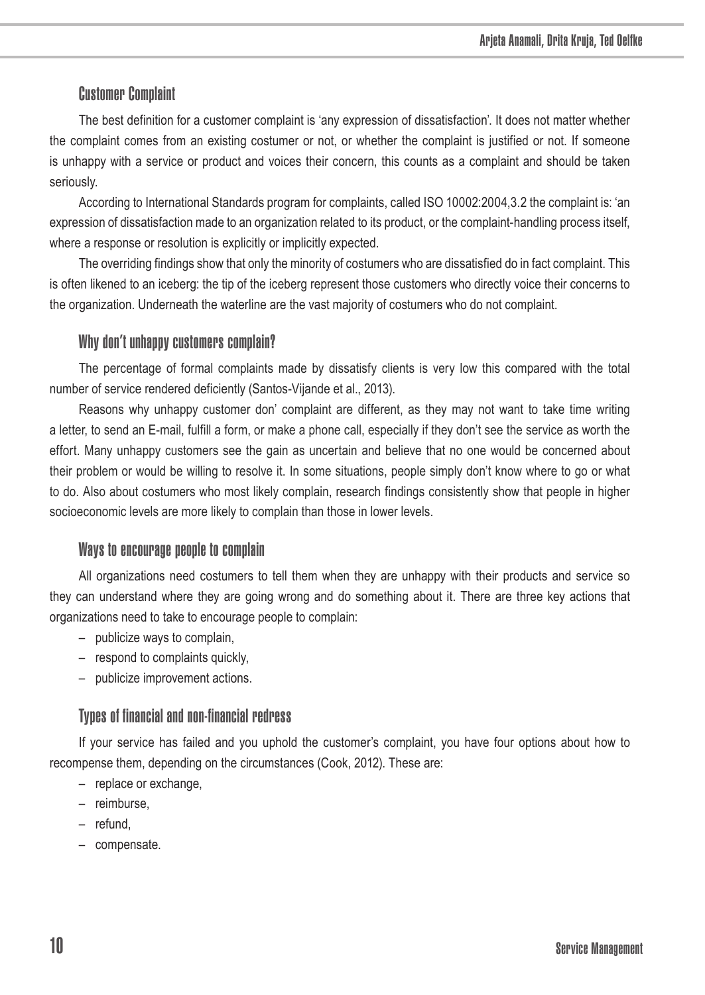# Customer Complaint

The best definition for a customer complaint is 'any expression of dissatisfaction'. It does not matter whether the complaint comes from an existing costumer or not, or whether the complaint is justified or not. If someone is unhappy with a service or product and voices their concern, this counts as a complaint and should be taken seriously.

According to International Standards program for complaints, called ISO 10002:2004,3.2 the complaint is: 'an expression of dissatisfaction made to an organization related to its product, or the complaint-handling process itself, where a response or resolution is explicitly or implicitly expected.

The overriding findings show that only the minority of costumers who are dissatisfied do in fact complaint. This is often likened to an iceberg: the tip of the iceberg represent those customers who directly voice their concerns to the organization. Underneath the waterline are the vast majority of costumers who do not complaint.

### Why don't unhappy customers complain?

The percentage of formal complaints made by dissatisfy clients is very low this compared with the total number of service rendered deficiently (Santos-Vijande et al., 2013).

Reasons why unhappy customer don' complaint are different, as they may not want to take time writing a letter, to send an E-mail, fulfill a form, or make a phone call, especially if they don't see the service as worth the effort. Many unhappy customers see the gain as uncertain and believe that no one would be concerned about their problem or would be willing to resolve it. In some situations, people simply don't know where to go or what to do. Also about costumers who most likely complain, research findings consistently show that people in higher socioeconomic levels are more likely to complain than those in lower levels.

### Ways to encourage people to complain

All organizations need costumers to tell them when they are unhappy with their products and service so they can understand where they are going wrong and do something about it. There are three key actions that organizations need to take to encourage people to complain:

- publicize ways to complain,
- respond to complaints quickly,
- publicize improvement actions.

# Types of financial and non-financial redress

If your service has failed and you uphold the customer's complaint, you have four options about how to recompense them, depending on the circumstances (Cook, 2012). These are:

- replace or exchange,
- reimburse,
- refund,
- compensate.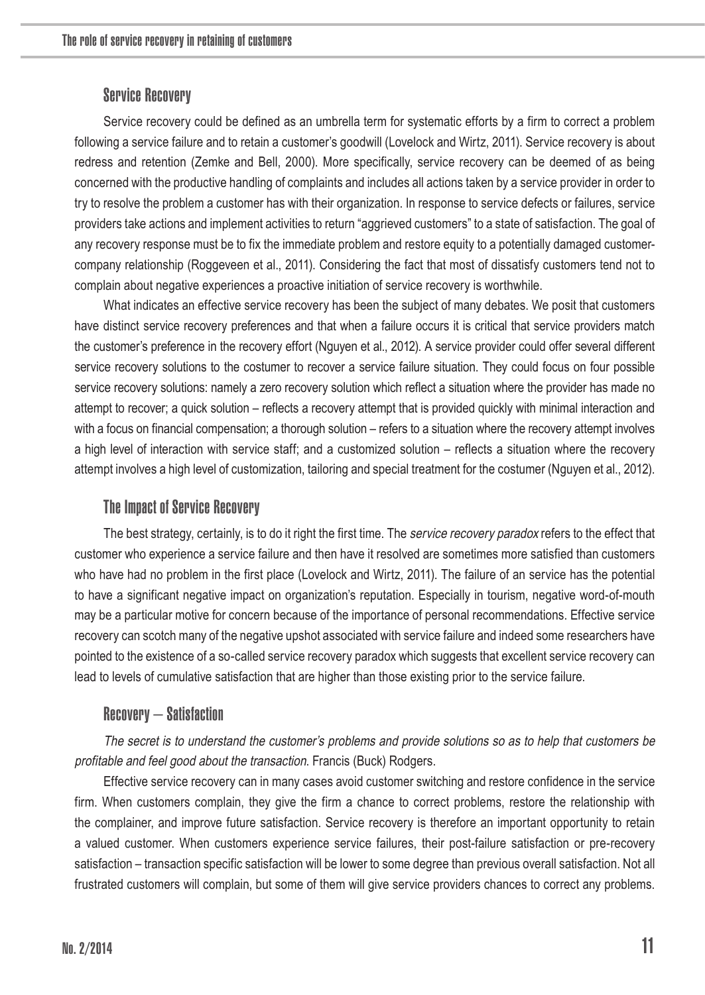## Service Recovery

Service recovery could be defined as an umbrella term for systematic efforts by a firm to correct a problem following a service failure and to retain a customer's goodwill (Lovelock and Wirtz, 2011). Service recovery is about redress and retention (Zemke and Bell, 2000). More specifically, service recovery can be deemed of as being concerned with the productive handling of complaints and includes all actions taken by a service provider in order to try to resolve the problem a customer has with their organization. In response to service defects or failures, service providers take actions and implement activities to return "aggrieved customers" to a state of satisfaction. The goal of any recovery response must be to fix the immediate problem and restore equity to a potentially damaged customercompany relationship (Roggeveen et al., 2011). Considering the fact that most of dissatisfy customers tend not to complain about negative experiences a proactive initiation of service recovery is worthwhile.

What indicates an effective service recovery has been the subject of many debates. We posit that customers have distinct service recovery preferences and that when a failure occurs it is critical that service providers match the customer's preference in the recovery effort (Nguyen et al., 2012). A service provider could offer several different service recovery solutions to the costumer to recover a service failure situation. They could focus on four possible service recovery solutions: namely a zero recovery solution which reflect a situation where the provider has made no attempt to recover; a quick solution – reflects a recovery attempt that is provided quickly with minimal interaction and with a focus on financial compensation; a thorough solution – refers to a situation where the recovery attempt involves a high level of interaction with service staff; and a customized solution – reflects a situation where the recovery attempt involves a high level of customization, tailoring and special treatment for the costumer (Nguyen et al., 2012).

### The Impact of Service Recovery

The best strategy, certainly, is to do it right the first time. The *service recovery paradox* refers to the effect that customer who experience a service failure and then have it resolved are sometimes more satisfied than customers who have had no problem in the first place (Lovelock and Wirtz, 2011). The failure of an service has the potential to have a significant negative impact on organization's reputation. Especially in tourism, negative word-of-mouth may be a particular motive for concern because of the importance of personal recommendations. Effective service recovery can scotch many of the negative upshot associated with service failure and indeed some researchers have pointed to the existence of a so-called service recovery paradox which suggests that excellent service recovery can lead to levels of cumulative satisfaction that are higher than those existing prior to the service failure.

### Recovery – Satisfaction

The secret is to understand the customer's problems and provide solutions so as to help that customers be profitable and feel good about the transaction. Francis (Buck) Rodgers.

Effective service recovery can in many cases avoid customer switching and restore confidence in the service firm. When customers complain, they give the firm a chance to correct problems, restore the relationship with the complainer, and improve future satisfaction. Service recovery is therefore an important opportunity to retain a valued customer. When customers experience service failures, their post-failure satisfaction or pre-recovery satisfaction – transaction specific satisfaction will be lower to some degree than previous overall satisfaction. Not all frustrated customers will complain, but some of them will give service providers chances to correct any problems.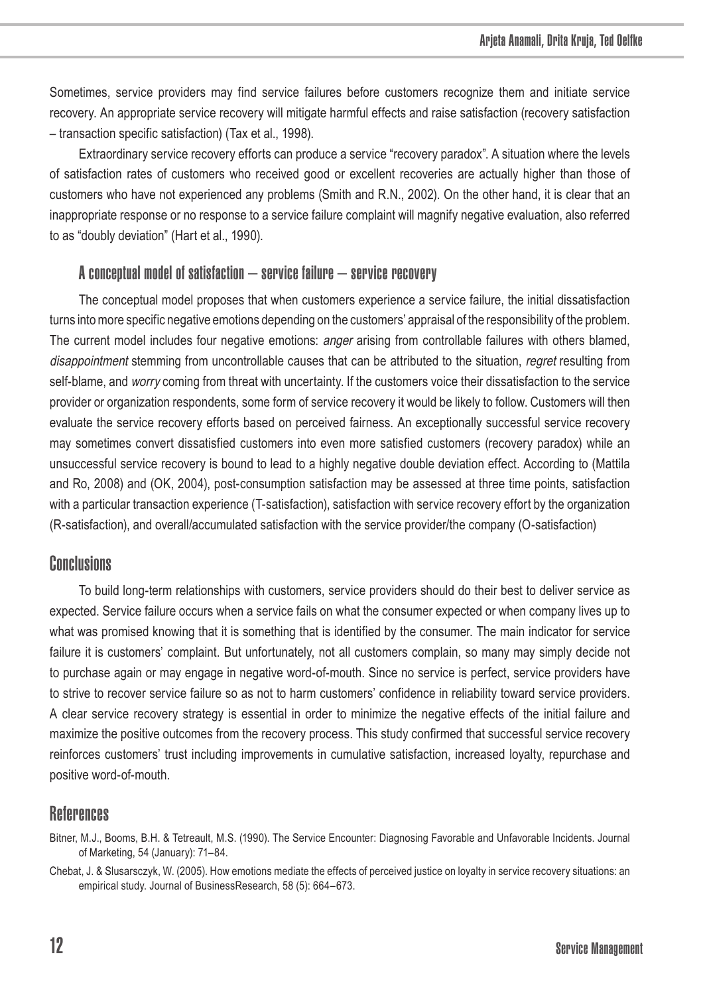Sometimes, service providers may find service failures before customers recognize them and initiate service recovery. An appropriate service recovery will mitigate harmful effects and raise satisfaction (recovery satisfaction – transaction specific satisfaction) (Tax et al., 1998).

Extraordinary service recovery efforts can produce a service "recovery paradox". A situation where the levels of satisfaction rates of customers who received good or excellent recoveries are actually higher than those of customers who have not experienced any problems (Smith and R.N., 2002). On the other hand, it is clear that an inappropriate response or no response to a service failure complaint will magnify negative evaluation, also referred to as "doubly deviation" (Hart et al., 1990).

## A conceptual model of satisfaction – service failure – service recovery

The conceptual model proposes that when customers experience a service failure, the initial dissatisfaction turns into more specific negative emotions depending on the customers' appraisal of the responsibility of the problem. The current model includes four negative emotions: anger arising from controllable failures with others blamed, disappointment stemming from uncontrollable causes that can be attributed to the situation, regret resulting from self-blame, and worry coming from threat with uncertainty. If the customers voice their dissatisfaction to the service provider or organization respondents, some form of service recovery it would be likely to follow. Customers will then evaluate the service recovery efforts based on perceived fairness. An exceptionally successful service recovery may sometimes convert dissatisfied customers into even more satisfied customers (recovery paradox) while an unsuccessful service recovery is bound to lead to a highly negative double deviation effect. According to (Mattila and Ro, 2008) and (OK, 2004), post-consumption satisfaction may be assessed at three time points, satisfaction with a particular transaction experience (T-satisfaction), satisfaction with service recovery effort by the organization (R-satisfaction), and overall/accumulated satisfaction with the service provider/the company (O-satisfaction)

# Conclusions

To build long-term relationships with customers, service providers should do their best to deliver service as expected. Service failure occurs when a service fails on what the consumer expected or when company lives up to what was promised knowing that it is something that is identified by the consumer. The main indicator for service failure it is customers' complaint. But unfortunately, not all customers complain, so many may simply decide not to purchase again or may engage in negative word-of-mouth. Since no service is perfect, service providers have to strive to recover service failure so as not to harm customers' confidence in reliability toward service providers. A clear service recovery strategy is essential in order to minimize the negative effects of the initial failure and maximize the positive outcomes from the recovery process. This study confirmed that successful service recovery reinforces customers' trust including improvements in cumulative satisfaction, increased loyalty, repurchase and positive word-of-mouth.

# **References**

- Bitner, M.J., Booms, B.H. & Tetreault, M.S. (1990). The Service Encounter: Diagnosing Favorable and Unfavorable Incidents. Journal of Marketing, 54 (January): 71–84.
- Chebat, J. & Slusarsczyk, W. (2005). How emotions mediate the effects of perceived justice on loyalty in service recovery situations: an empirical study. Journal of BusinessResearch, 58 (5): 664–673.